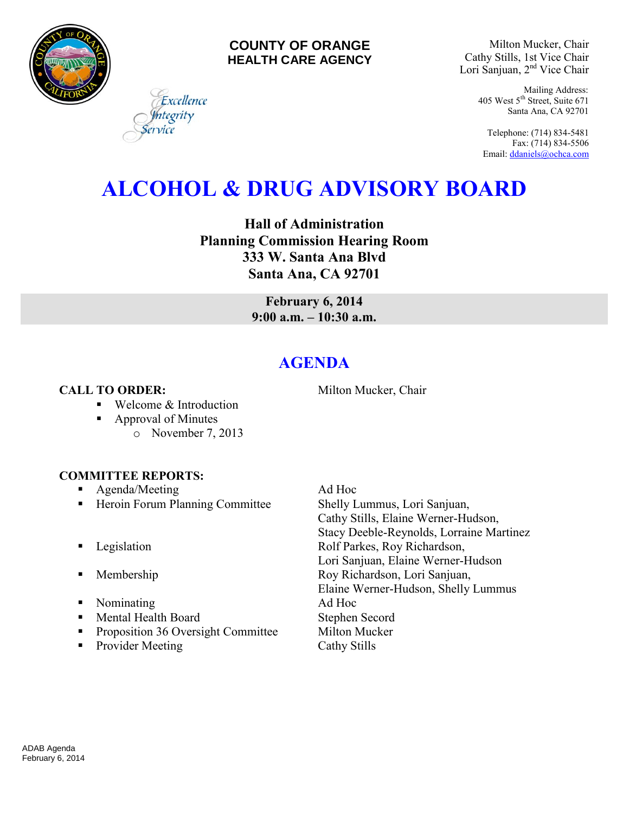

### **COUNTY OF ORANGE HEALTH CARE AGENCY**

Milton Mucker, Chair Cathy Stills, 1st Vice Chair Lori Sanjuan, 2nd Vice Chair

> Mailing Address: 405 West 5th Street, Suite 671 Santa Ana, CA 92701

Telephone: (714) 834-5481 Fax: (714) 834-5506 Email[: ddaniels@ochca.com](mailto:ddaniels@ochca.com)

# **ALCOHOL & DRUG ADVISORY BOARD**

**Hall of Administration Planning Commission Hearing Room 333 W. Santa Ana Blvd Santa Ana, CA 92701** 

> **February 6, 2014 9:00 a.m. – 10:30 a.m.**

## **AGENDA**

**CALL TO ORDER:** Milton Mucker, Chair

- Welcome & Introduction
- Approval of Minutes
	- o November 7, 2013

#### **COMMITTEE REPORTS:**

- **Agenda/Meeting Ad Hoc**
- Heroin Forum Planning Committee Shelly Lummus, Lori Sanjuan,
- 
- 
- Nominating Ad Hoc
- Mental Health Board Stephen Secord
- **Proposition 36 Oversight Committee Milton Mucker**
- Provider Meeting Cathy Stills

Cathy Stills, Elaine Werner-Hudson, Stacy Deeble-Reynolds, Lorraine Martinez **Example 3** Legislation **Rolf Parkes, Roy Richardson,** Lori Sanjuan, Elaine Werner-Hudson **Membership Roy Richardson, Lori Sanjuan,** Elaine Werner-Hudson, Shelly Lummus

Excellence egrity